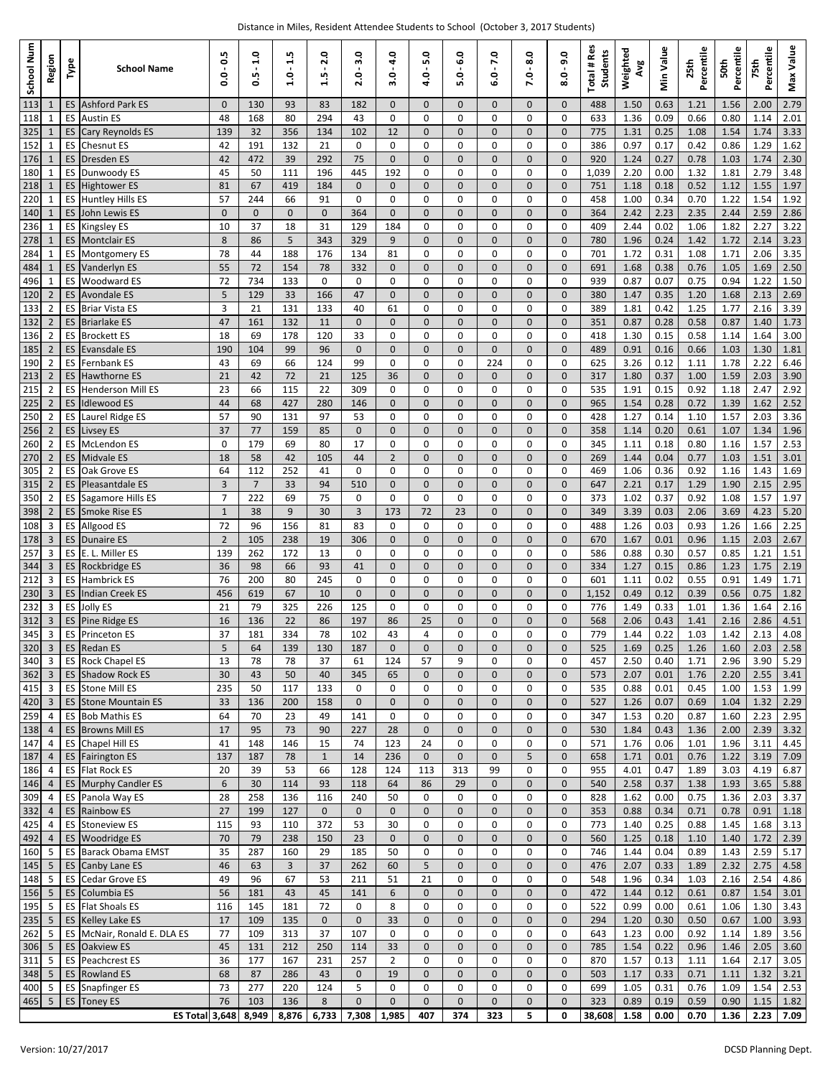| School Num       | Region                           | Type                   | <b>School Name</b>                                   | 5<br>ö<br>۰<br>o   | ۰<br>÷<br>S<br>o    | m<br>÷<br>۰       | $\bullet$<br><u>N</u><br>w | 3.0<br>۰<br>N         | o<br>4<br>۰<br>m         | 5.0<br>۰<br>q      | 6.0<br>۰<br>۱ń          | 7.0<br>۰<br>ئە | o<br>∞<br>۰       | Q<br>ெ<br>۰<br>ఱ        | Total # Res<br><b>Students</b> | Weighted<br>Avg | Min Value    | ౨<br>Percenti<br>25th | Percentile<br>50th | Percentile<br>75th | Max Value    |
|------------------|----------------------------------|------------------------|------------------------------------------------------|--------------------|---------------------|-------------------|----------------------------|-----------------------|--------------------------|--------------------|-------------------------|----------------|-------------------|-------------------------|--------------------------------|-----------------|--------------|-----------------------|--------------------|--------------------|--------------|
| 113              | -1                               |                        | <b>ES Ashford Park ES</b>                            | $\mathbf{0}$       | 130                 | 93                | 83                         | 182                   | $\mathbf{0}$             | $\mathbf{0}$       | $\mathbf{0}$            | 0              | $\mathbf{0}$      | $\mathbf 0$             | 488                            | 1.50            | 0.63         | 1.21                  | 1.56               | 2.00               | 2.79         |
| 118<br>325       | 1<br>1                           | ES<br>ES               | <b>Austin ES</b><br>Cary Reynolds ES                 | 48<br>139          | 168<br>32           | 80<br>356         | 294<br>134                 | 43<br>102             | 0<br>12                  | 0<br>0             | $\mathbf 0$<br>0        | 0<br>0         | 0<br>0            | $\mathbf 0$<br>$\Omega$ | 633<br>775                     | 1.36<br>1.31    | 0.09<br>0.25 | 0.66<br>1.08          | 0.80<br>1.54       | 1.14<br>1.74       | 2.01<br>3.33 |
| 152              | 1                                | ES                     | <b>Chesnut ES</b>                                    | 42                 | 191                 | 132               | 21                         | 0                     | 0                        | 0                  | 0                       | 0              | 0                 | 0                       | 386                            | 0.97            | 0.17         | 0.42                  | 0.86               | 1.29               | 1.62         |
| 176              | 1                                | ES.                    | Dresden ES                                           | 42                 | 472                 | 39                | 292                        | 75                    | $\mathbf{0}$             | 0                  | 0                       | 0              | $\mathbf{0}$      | $\Omega$                | 920                            | 1.24            | 0.27         | 0.78                  | 1.03               | 1.74               | 2.30         |
| 180              | 1                                | <b>ES</b>              | Dunwoody ES                                          | 45                 | 50                  | 111               | 196                        | 445                   | 192                      | 0                  | 0                       | 0              | 0                 | $\Omega$                | 1,039                          | 2.20            | 0.00         | 1.32                  | 1.81               | 2.79               | 3.48         |
| 218              | 1                                | <b>ES</b>              | <b>Hightower ES</b>                                  | 81                 | 67                  | 419               | 184                        | $\overline{0}$        | $\mathbf{0}$             | 0                  | 0                       | 0              | $\mathbf{0}$      | $\mathbf 0$             | 751                            | 1.18            | 0.18         | 0.52                  | 1.12               | 1.55               | 1.97         |
| 220<br>140       | 1<br>-1                          | ES<br>ES               | <b>Huntley Hills ES</b><br>John Lewis ES             | 57<br>$\mathbf{0}$ | 244<br>$\mathbf{0}$ | 66<br>$\mathbf 0$ | 91<br>$\mathbf{0}$         | 0<br>364              | $\Omega$<br>$\mathbf{0}$ | 0<br>0             | $\Omega$<br>0           | 0<br>0         | 0<br>$\mathbf{0}$ | 0<br>$\mathbf 0$        | 458<br>364                     | 1.00<br>2.42    | 0.34<br>2.23 | 0.70<br>2.35          | 1.22<br>2.44       | 1.54<br>2.59       | 1.92<br>2.86 |
| 236              | 1                                | ES                     | <b>Kingsley ES</b>                                   | 10                 | 37                  | 18                | 31                         | 129                   | 184                      | 0                  | $\Omega$                | 0              | 0                 | $\Omega$                | 409                            | 2.44            | 0.02         | 1.06                  | 1.82               | 2.27               | 3.22         |
| 278              | 1                                | ES.                    | <b>Montclair ES</b>                                  | 8                  | 86                  | 5                 | 343                        | 329                   | 9                        | 0                  | 0                       | 0              | $\mathbf{0}$      | $\mathbf 0$             | 780                            | 1.96            | 0.24         | 1.42                  | 1.72               | 2.14               | 3.23         |
| 284              | 1                                | ES                     | <b>Montgomery ES</b>                                 | 78                 | 44                  | 188               | 176                        | 134                   | 81                       | 0                  | 0                       | 0              | 0                 | 0                       | 701                            | 1.72            | 0.31         | 1.08                  | 1.71               | 2.06               | 3.35         |
| 484              | $\mathbf{1}$                     | <b>ES</b><br><b>ES</b> | Vanderlyn ES                                         | 55<br>72           | 72<br>734           | 154<br>133        | 78<br>0                    | 332<br>0              | $\mathbf 0$<br>$\Omega$  | $\Omega$<br>0      | $\Omega$<br>$\Omega$    | $\Omega$<br>0  | $\mathbf 0$<br>0  | $\Omega$<br>$\Omega$    | 691<br>939                     | 1.68            | 0.38<br>0.07 | 0.76<br>0.75          | 1.05<br>0.94       | 1.69<br>1.22       | 2.50<br>1.50 |
| 496<br>120       | 1<br>2                           | <b>ES</b>              | <b>Woodward ES</b><br><b>Avondale ES</b>             | 5                  | 129                 | 33                | 166                        | 47                    | $\mathbf{0}$             | 0                  | 0                       | 0              | $\mathbf{0}$      | $\mathbf 0$             | 380                            | 0.87<br>1.47    | 0.35         | 1.20                  | 1.68               | 2.13               | 2.69         |
| 133              | 2                                | ES                     | <b>Briar Vista ES</b>                                | 3                  | 21                  | 131               | 133                        | 40                    | 61                       | 0                  | 0                       | 0              | 0                 | 0                       | 389                            | 1.81            | 0.42         | 1.25                  | 1.77               | 2.16               | 3.39         |
| 132              | $\overline{2}$                   | ES.                    | <b>Briarlake ES</b>                                  | 47                 | 161                 | 132               | 11                         | $\mathbf{0}$          | $\mathbf{0}$             | 0                  | 0                       | 0              | $\mathbf{0}$      | $\mathbf 0$             | 351                            | 0.87            | 0.28         | 0.58                  | 0.87               | 1.40               | 1.73         |
| 136              | $\overline{2}$                   | <b>ES</b>              | <b>Brockett ES</b>                                   | 18                 | 69                  | 178               | 120                        | 33                    | 0                        | 0                  | 0                       | 0              | 0                 | $\Omega$                | 418                            | 1.30            | 0.15         | 0.58                  | 1.14               | 1.64               | 3.00         |
| 185<br>190       | $\overline{2}$<br>$\overline{2}$ | <b>ES</b><br>ES.       | <b>Evansdale ES</b><br>Fernbank ES                   | 190<br>43          | 104<br>69           | 99<br>66          | 96<br>124                  | $\overline{0}$<br>99  | $\mathbf{0}$<br>0        | 0<br>0             | 0<br>$\Omega$           | 0<br>224       | $\mathbf{0}$<br>0 | $\mathbf 0$<br>$\Omega$ | 489<br>625                     | 0.91<br>3.26    | 0.16<br>0.12 | 0.66<br>1.11          | 1.03<br>1.78       | 1.30<br>2.22       | 1.81<br>6.46 |
| 213              | $\overline{2}$                   | ES.                    | <b>Hawthorne ES</b>                                  | 21                 | 42                  | 72                | 21                         | 125                   | 36                       | 0                  | 0                       | 0              | $\mathbf{0}$      | $\mathbf 0$             | 317                            | 1.80            | 0.37         | 1.00                  | 1.59               | 2.03               | 3.90         |
| 215              | $\overline{2}$                   | ES                     | <b>Henderson Mill ES</b>                             | 23                 | 66                  | 115               | 22                         | 309                   | $\Omega$                 | 0                  | $\Omega$                | 0              | 0                 | $\Omega$                | 535                            | 1.91            | 0.15         | 0.92                  | 1.18               | 2.47               | 2.92         |
| 225              | 2                                | ES.                    | <b>Idlewood ES</b>                                   | 44                 | 68                  | 427               | 280                        | 146                   | $\mathbf{0}$             | $\mathbf 0$        | 0                       | 0              | $\mathbf{0}$      | $\Omega$                | 965                            | 1.54            | 0.28         | 0.72                  | 1.39               | 1.62               | 2.52         |
| 250              | $\overline{2}$                   | ES                     | Laurel Ridge ES                                      | 57                 | 90                  | 131               | 97                         | 53                    | 0                        | 0                  | 0                       | 0              | 0                 | 0                       | 428                            | 1.27            | 0.14         | 1.10                  | 1.57               | 2.03               | 3.36         |
| 256<br>260       | $\overline{2}$<br>$\overline{2}$ | ES<br><b>ES</b>        | Livsey ES<br><b>McLendon ES</b>                      | 37<br>$\mathbf 0$  | 77<br>179           | 159<br>69         | 85<br>80                   | $\overline{0}$<br>17  | $\Omega$<br>0            | $\Omega$<br>0      | $\Omega$<br>$\mathbf 0$ | $\Omega$<br>0  | $\mathbf 0$<br>0  | $\Omega$<br>$\mathbf 0$ | 358<br>345                     | 1.14<br>1.11    | 0.20<br>0.18 | 0.61<br>0.80          | 1.07<br>1.16       | 1.34<br>1.57       | 1.96<br>2.53 |
| 270              | $\overline{2}$                   | <b>ES</b>              | <b>Midvale ES</b>                                    | 18                 | 58                  | 42                | 105                        | 44                    | $\overline{2}$           | 0                  | 0                       | 0              | $\mathbf{0}$      | $\mathbf 0$             | 269                            | 1.44            | 0.04         | 0.77                  | 1.03               | 1.51               | 3.01         |
| 305              | $\overline{2}$                   | ES                     | Oak Grove ES                                         | 64                 | 112                 | 252               | 41                         | 0                     | $\Omega$                 | 0                  | 0                       | 0              | 0                 | $\Omega$                | 469                            | 1.06            | 0.36         | 0.92                  | 1.16               | 1.43               | 1.69         |
| 315              |                                  | ES.                    | Pleasantdale ES                                      | 3                  | $\overline{7}$      | 33                | 94                         | 510                   | $\mathbf{0}$             | 0                  | 0                       | 0              | $\mathbf{0}$      | $\overline{0}$          | 647                            | 2.21            | 0.17         | 1.29                  | 1.90               | 2.15               | 2.95         |
| 350              | $\overline{2}$                   | ES                     | Sagamore Hills ES                                    | $\overline{7}$     | 222                 | 69                | 75                         | 0                     | 0                        | 0                  | 0                       | 0              | 0                 | $\mathbf 0$             | 373                            | 1.02            | 0.37         | 0.92                  | 1.08               | 1.57               | 1.97         |
| 398<br>108       | $\overline{2}$<br>3              | ES                     | <b>Smoke Rise ES</b><br>ES Allgood ES                | $\mathbf{1}$<br>72 | 38<br>96            | 9<br>156          | 30<br>81                   | 3<br>83               | 173<br>0                 | 72<br>0            | 23<br>0                 | $\Omega$<br>0  | $\Omega$<br>0     | $\Omega$<br>0           | 349<br>488                     | 3.39<br>1.26    | 0.03<br>0.03 | 2.06<br>0.93          | 3.69<br>1.26       | 4.23<br>1.66       | 5.20<br>2.25 |
| 178              | 3                                | ES.                    | <b>Dunaire ES</b>                                    | $\overline{2}$     | 105                 | 238               | 19                         | 306                   | $\mathbf{0}$             | 0                  | 0                       | 0              | $\mathbf{0}$      | $\mathbf{0}$            | 670                            | 1.67            | 0.01         | 0.96                  | 1.15               | 2.03               | 2.67         |
| 257              | 3                                | ES                     | E. L. Miller ES                                      | 139                | 262                 | 172               | 13                         | 0                     | $\Omega$                 | 0                  | $\Omega$                | 0              | 0                 | 0                       | 586                            | 0.88            | 0.30         | 0.57                  | 0.85               | 1.21               | 1.51         |
| 344              | 3                                |                        | ES Rockbridge ES                                     | 36                 | 98                  | 66                | 93                         | 41                    | $\mathbf{0}$             | 0                  | 0                       | 0              | $\mathbf{0}$      | $\Omega$                | 334                            | 1.27            | 0.15         | 0.86                  | 1.23               | 1.75               | 2.19         |
| 212              | 3                                | ES                     | <b>Hambrick ES</b>                                   | 76                 | 200                 | 80                | 245                        | 0                     | 0                        | 0                  | 0                       | 0              | 0                 | 0                       | 601                            | 1.11            | 0.02         | 0.55                  | 0.91               | 1.49               | 1.71         |
| 230<br>232       | 3<br>3                           | <b>ES</b><br>ES        | <b>Indian Creek ES</b><br>Jolly ES                   | 456<br>21          | 619<br>79           | 67<br>325         | 10<br>226                  | $\overline{0}$<br>125 | $\Omega$<br>0            | $\Omega$<br>0      | $\Omega$<br>0           | $\Omega$<br>0  | $\mathbf 0$<br>0  | $\Omega$<br>$\mathbf 0$ | 1,152<br>776                   | 0.49<br>1.49    | 0.12<br>0.33 | 0.39<br>1.01          | 0.56<br>1.36       | 0.75<br>1.64       | 1.82<br>2.16 |
| 312              | 3                                | ES                     | Pine Ridge ES                                        | 16                 | 136                 | 22                | 86                         | 197                   | 86                       | 25                 | 0                       | 0              | $\mathbf{0}$      | $\mathbf 0$             | 568                            | 2.06            | 0.43         | 1.41                  | 2.16               | 2.86               | 4.51         |
| 345              | 3                                | ES                     | Princeton ES                                         | 37                 | 181                 | 334               | 78                         | 102                   | 43                       | 4                  | 0                       | 0              | 0                 | 0                       | 779                            | 1.44            | 0.22         | 1.03                  | 1.42               | 2.13               | 4.08         |
| 320              | $\overline{3}$                   |                        | <b>ES</b> Redan ES                                   | 5                  | 64                  | 139               | 130                        | 187                   | $\mathbf{0}$             | $\mathbf 0$        | 0                       | $\overline{0}$ | 0                 | $\Omega$                | 525                            | 1.69            | 0.25         | 1.26                  | 1.60               | 2.03               | 2.58         |
| 340<br>362       | 3                                |                        | <b>ES</b> Rock Chapel ES<br><b>ES Shadow Rock ES</b> | 13<br>30           | 78                  | 78<br>50          | 37<br>40                   | 61<br>345             | 124                      | 57                 | 9                       | 0              | 0                 | 0                       | 457                            | 2.50            | 0.40         | 1.71                  | 2.96               | 3.90<br>2.55       | 5.29<br>3.41 |
| 415 3            | $\overline{3}$                   |                        | ES Stone Mill ES                                     | 235                | 43<br>50            | 117               | 133                        | 0                     | 65<br>0                  | $\mathbf{0}$<br>0  | 0<br>0                  | 0<br>0         | 0<br>0            | $\mathbf 0$<br>0        | 573<br>535                     | 2.07<br>0.88    | 0.01<br>0.01 | 1.76<br>0.45          | 2.20<br>1.00       | 1.53               | 1.99         |
| 420 3            |                                  |                        | ES Stone Mountain ES                                 | 33                 | 136                 | 200               | 158                        | $\mathbf 0$           | $\mathbf 0$              | 0                  | 0                       | 0              | $\mathbf 0$       | $\mathbf 0$             | 527                            | 1.26            | 0.07         | 0.69                  | 1.04               | 1.32               | 2.29         |
| 259              | 4                                |                        | ES Bob Mathis ES                                     | 64                 | 70                  | 23                | 49                         | 141                   | 0                        | $\mathbf 0$        | 0                       | 0              | 0                 | 0                       | 347                            | 1.53            | 0.20         | 0.87                  | 1.60               | 2.23               | 2.95         |
| 138 4            |                                  |                        | <b>ES Browns Mill ES</b>                             | 17                 | 95                  | 73                | 90                         | 227                   | 28                       | 0                  | $\mathbf 0$             | $\mathbf{0}$   | 0                 | $\mathbf 0$             | 530                            | 1.84            | 0.43         | 1.36                  | 2.00               | 2.39               | 3.32         |
| 147<br>187       | 4<br>4                           |                        | ES Chapel Hill ES<br>ES Fairington ES                | 41<br>137          | 148<br>187          | 146<br>78         | 15<br>$\mathbf{1}$         | 74<br>14              | 123<br>236               | 24<br>$\mathbf{0}$ | 0<br>$\mathbf 0$        | 0<br>0         | 0<br>5            | 0<br>$\mathbf 0$        | 571<br>658                     | 1.76<br>1.71    | 0.06<br>0.01 | 1.01<br>0.76          | 1.96<br>1.22       | 3.11<br>3.19       | 4.45<br>7.09 |
| 186              | 4                                |                        | ES Flat Rock ES                                      | 20                 | 39                  | 53                | 66                         | 128                   | 124                      | 113                | 313                     | 99             | 0                 | 0                       | 955                            | 4.01            | 0.47         | 1.89                  | 3.03               | 4.19               | 6.87         |
| 146              | $\overline{4}$                   |                        | <b>ES</b> Murphy Candler ES                          | 6                  | 30                  | 114               | 93                         | 118                   | 64                       | 86                 | 29                      | 0              | 0                 | $\mathbf 0$             | 540                            | 2.58            | 0.37         | 1.38                  | 1.93               | 3.65               | 5.88         |
| 309              | 4                                |                        | ES Panola Way ES                                     | 28                 | 258                 | 136               | 116                        | 240                   | 50                       | 0                  | 0                       | 0              | 0                 | 0                       | 828                            | 1.62            | 0.00         | 0.75                  | 1.36               | 2.03               | 3.37         |
| 332              | $\overline{4}$                   |                        | <b>ES</b> Rainbow ES                                 | 27                 | 199                 | 127               | $\mathbf 0$                | $\mathbf 0$           | $\mathbf 0$              | 0                  | $\mathbf 0$             | $\mathbf 0$    | 0                 | $\mathbf 0$             | 353                            | 0.88            | 0.34         | 0.71                  | 0.78               | 0.91               | 1.18         |
| 425<br>492       | 4<br>$\overline{4}$              |                        | <b>ES</b> Stoneview ES<br>ES Woodridge ES            | 115<br>70          | 93<br>79            | 110<br>238        | 372<br>150                 | 53<br>23              | 30<br>$\mathbf 0$        | 0<br>0             | 0<br>0                  | 0<br>0         | 0<br>0            | 0<br>$\mathbf 0$        | 773<br>560                     | 1.40<br>1.25    | 0.25<br>0.18 | 0.88<br>1.10          | 1.45<br>1.40       | 1.68<br>1.72       | 3.13<br>2.39 |
| 160              | - 5                              |                        | ES Barack Obama EMST                                 | 35                 | 287                 | 160               | 29                         | 185                   | 50                       | 0                  | 0                       | 0              | 0                 | 0                       | 746                            | 1.44            | 0.04         | 0.89                  | 1.43               | 2.59               | 5.17         |
| 145              | 5                                |                        | ES Canby Lane ES                                     | 46                 | 63                  | 3                 | 37                         | 262                   | 60                       | 5                  | 0                       | 0              | 0                 | $\mathbf 0$             | 476                            | 2.07            | 0.33         | 1.89                  | 2.32               | 2.75               | 4.58         |
| 148 5            |                                  |                        | ES Cedar Grove ES                                    | 49                 | 96                  | 67                | 53                         | 211                   | 51                       | 21                 | 0                       | 0              | 0                 | 0                       | 548                            | 1.96            | 0.34         | 1.03                  | 2.16               | 2.54               | 4.86         |
| 156 5            |                                  |                        | ES Columbia ES                                       | 56                 | 181                 | 43                | 45                         | 141                   | 6                        | 0                  | $\mathbf 0$             | $\mathbf{0}$   | $\mathbf 0$       | $\mathbf 0$             | 472                            | 1.44            | 0.12         | 0.61                  | 0.87               | 1.54               | 3.01         |
| 195 5<br>$235$ 5 |                                  |                        | <b>ES</b> Flat Shoals ES<br>ES Kelley Lake ES        | 116<br>17          | 145<br>109          | 181<br>135        | 72<br>$\mathbf 0$          | 0<br>$\mathbf 0$      | 8<br>33                  | 0<br>0             | 0<br>$\mathbf 0$        | 0<br>0         | 0<br>0            | 0<br>$\mathbf 0$        | 522<br>294                     | 0.99<br>1.20    | 0.00<br>0.30 | 0.61<br>0.50          | 1.06<br>0.67       | 1.30<br>1.00       | 3.43<br>3.93 |
| 262 5            |                                  |                        | ES McNair, Ronald E. DLA ES                          | 77                 | 109                 | 313               | 37                         | 107                   | 0                        | 0                  | 0                       | 0              | 0                 | 0                       | 643                            | 1.23            | 0.00         | 0.92                  | 1.14               | 1.89               | 3.56         |
| 306 5            |                                  |                        | <b>ES</b> Oakview ES                                 | 45                 | 131                 | 212               | 250                        | 114                   | 33                       | 0                  | 0                       | 0              | 0                 | $\mathbf 0$             | 785                            | 1.54            | 0.22         | 0.96                  | 1.46               | 2.05               | 3.60         |
| 311              | - 5                              |                        | <b>ES</b> Peachcrest ES                              | 36                 | 177                 | 167               | 231                        | 257                   | 2                        | 0                  | 0                       | 0              | 0                 | 0                       | 870                            | 1.57            | 0.13         | 1.11                  | 1.64               | 2.17               | 3.05         |
| 348 5            |                                  |                        | ES Rowland ES                                        | 68                 | 87                  | 286               | 43                         | $\mathbf 0$           | 19                       | 0                  | $\mathbf 0$             | $\mathbf 0$    | 0                 | $\mathbf 0$             | 503                            | 1.17            | 0.33         | 0.71                  | 1.11               | 1.32               | 3.21         |
| 400 5<br>465     | 5                                |                        | <b>ES</b> Snapfinger ES<br><b>ES</b> Toney ES        | 73<br>76           | 277<br>103          | 220<br>136        | 124<br>8                   | 5<br>$\overline{0}$   | 0<br>$\mathbf{0}$        | 0<br>0             | 0<br>$\mathbf 0$        | 0<br>0         | 0<br>0            | 0<br>$\mathbf{0}$       | 699<br>323                     | 1.05<br>0.89    | 0.31<br>0.19 | 0.76<br>0.59          | 1.09<br>0.90       | 1.54<br>1.15       | 2.53<br>1.82 |
|                  |                                  |                        | <b>ES Total 3,648</b>                                |                    | 8,949               | 8,876             | 6,733                      | 7,308                 | 1,985                    | 407                | 374                     | 323            | 5                 | 0                       | 38,608                         | 1.58            | 0.00         | 0.70                  | 1.36               | $2.23$ 7.09        |              |